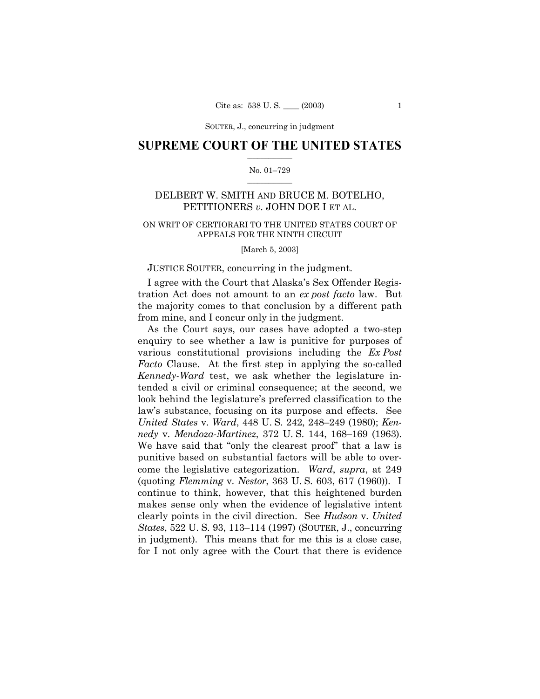## **SUPREME COURT OF THE UNITED STATES**  $\mathcal{L}=\mathcal{L}^{\mathcal{L}}$

#### No. 01-729  $\frac{1}{2}$  , where  $\frac{1}{2}$

# DELBERT W. SMITH AND BRUCE M. BOTELHO, PETITIONERS *v.* JOHN DOE I ET AL.

# ON WRIT OF CERTIORARI TO THE UNITED STATES COURT OF APPEALS FOR THE NINTH CIRCUIT

#### [March 5, 2003]

### JUSTICE SOUTER, concurring in the judgment.

I agree with the Court that Alaskaís Sex Offender Registration Act does not amount to an *ex post facto* law. But the majority comes to that conclusion by a different path from mine, and I concur only in the judgment.

As the Court says, our cases have adopted a two-step enquiry to see whether a law is punitive for purposes of various constitutional provisions including the *Ex Post Facto* Clause. At the first step in applying the so-called *Kennedy*-*Ward* test, we ask whether the legislature intended a civil or criminal consequence; at the second, we look behind the legislature's preferred classification to the lawís substance, focusing on its purpose and effects. See *United States v. Ward, 448 U.S. 242, 248*–249 (1980); *Kennedy* v. *Mendoza-Martinez*, 372 U.S. 144, 168–169 (1963). We have said that "only the clearest proof" that a law is punitive based on substantial factors will be able to overcome the legislative categorization. *Ward*, *supra*, at 249 (quoting *Flemming* v. *Nestor*, 363 U. S. 603, 617 (1960)). I continue to think, however, that this heightened burden makes sense only when the evidence of legislative intent clearly points in the civil direction. See *Hudson* v. *United States*, 522 U. S. 93, 113–114 (1997) (SOUTER, J., concurring in judgment). This means that for me this is a close case, for I not only agree with the Court that there is evidence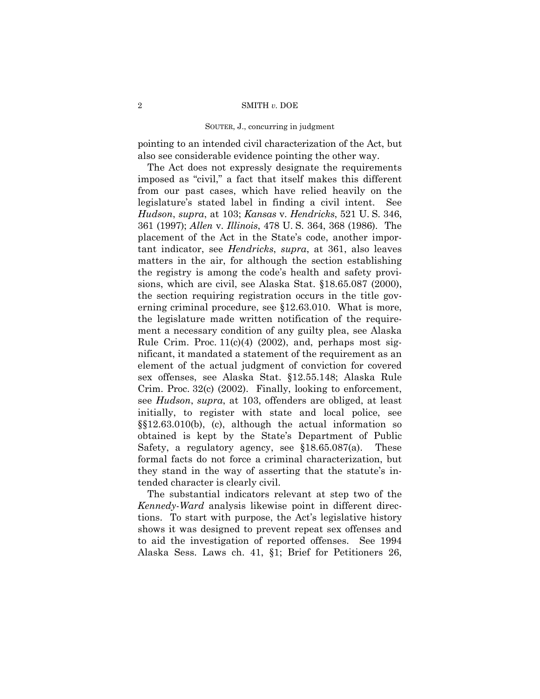pointing to an intended civil characterization of the Act, but also see considerable evidence pointing the other way.

The Act does not expressly designate the requirements imposed as "civil," a fact that itself makes this different from our past cases, which have relied heavily on the legislatureís stated label in finding a civil intent. See *Hudson*, *supra*, at 103; *Kansas* v. *Hendricks*, 521 U. S. 346, 361 (1997); *Allen* v. *Illinois*, 478 U. S. 364, 368 (1986). The placement of the Act in the State's code, another important indicator, see *Hendricks*, *supra*, at 361, also leaves matters in the air, for although the section establishing the registry is among the code's health and safety provisions, which are civil, see Alaska Stat. ß18.65.087 (2000), the section requiring registration occurs in the title governing criminal procedure, see ß12.63.010. What is more, the legislature made written notification of the requirement a necessary condition of any guilty plea, see Alaska Rule Crim. Proc.  $11(c)(4)$  (2002), and, perhaps most significant, it mandated a statement of the requirement as an element of the actual judgment of conviction for covered sex offenses, see Alaska Stat. ß12.55.148; Alaska Rule Crim. Proc. 32(c) (2002). Finally, looking to enforcement, see *Hudson*, *supra*, at 103, offenders are obliged, at least initially, to register with state and local police, see  $\S$ \$12.63.010(b), (c), although the actual information so obtained is kept by the Stateís Department of Public Safety, a regulatory agency, see  $$18.65.087(a)$ . These formal facts do not force a criminal characterization, but they stand in the way of asserting that the statute's intended character is clearly civil.

The substantial indicators relevant at step two of the *Kennedy*-*Ward* analysis likewise point in different directions. To start with purpose, the Act's legislative history shows it was designed to prevent repeat sex offenses and to aid the investigation of reported offenses. See 1994 Alaska Sess. Laws ch. 41, ß1; Brief for Petitioners 26,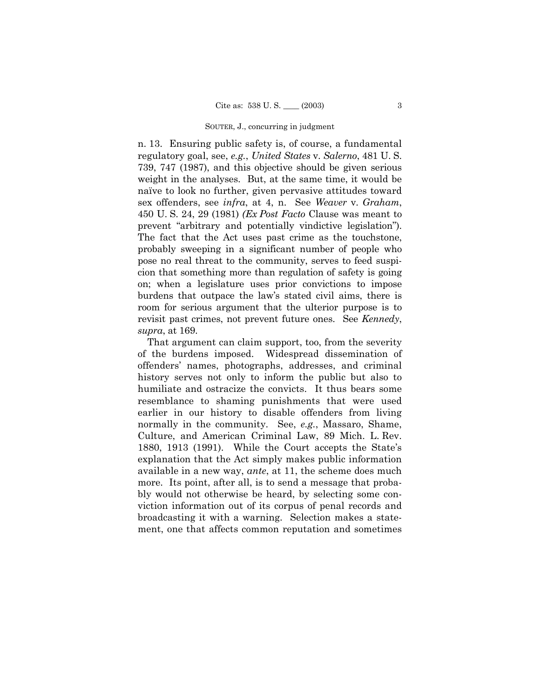n. 13. Ensuring public safety is, of course, a fundamental regulatory goal, see, *e.g.*, *United States* v. *Salerno*, 481 U. S. 739, 747 (1987), and this objective should be given serious weight in the analyses. But, at the same time, it would be naïve to look no further, given pervasive attitudes toward sex offenders, see *infra*, at 4, n. See *Weaver* v. *Graham*, 450 U. S. 24, 29 (1981) *(Ex Post Facto* Clause was meant to prevent "arbitrary and potentially vindictive legislation"). The fact that the Act uses past crime as the touchstone, probably sweeping in a significant number of people who pose no real threat to the community, serves to feed suspicion that something more than regulation of safety is going on; when a legislature uses prior convictions to impose burdens that outpace the lawís stated civil aims, there is room for serious argument that the ulterior purpose is to revisit past crimes, not prevent future ones. See *Kennedy*, *supra*, at 169.

That argument can claim support, too, from the severity of the burdens imposed. Widespread dissemination of offendersí names, photographs, addresses, and criminal history serves not only to inform the public but also to humiliate and ostracize the convicts. It thus bears some resemblance to shaming punishments that were used earlier in our history to disable offenders from living normally in the community. See, *e.g.*, Massaro, Shame, Culture, and American Criminal Law, 89 Mich. L. Rev. 1880, 1913 (1991). While the Court accepts the State's explanation that the Act simply makes public information available in a new way, *ante*, at 11, the scheme does much more. Its point, after all, is to send a message that probably would not otherwise be heard, by selecting some conviction information out of its corpus of penal records and broadcasting it with a warning. Selection makes a statement, one that affects common reputation and sometimes